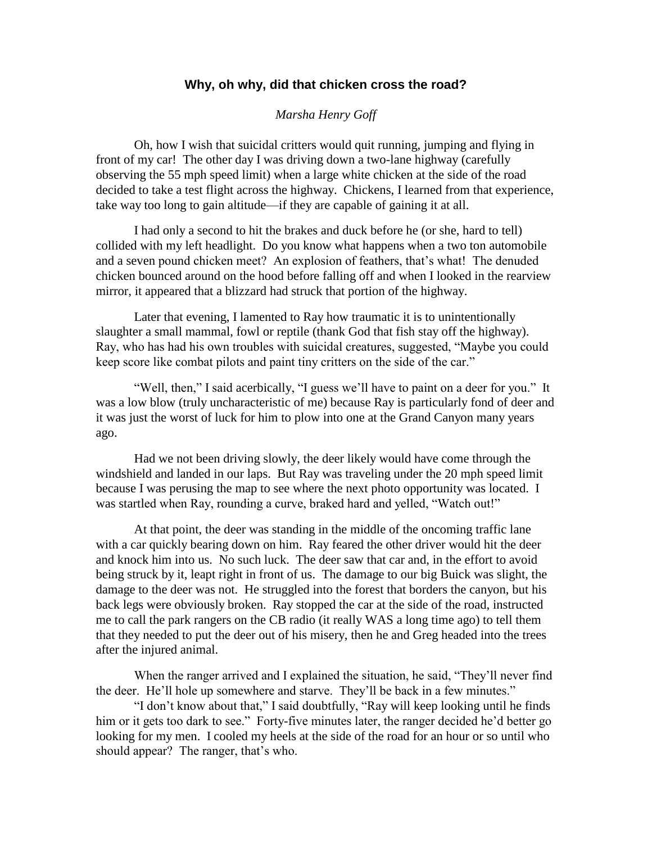## **Why, oh why, did that chicken cross the road?**

## *Marsha Henry Goff*

Oh, how I wish that suicidal critters would quit running, jumping and flying in front of my car! The other day I was driving down a two-lane highway (carefully observing the 55 mph speed limit) when a large white chicken at the side of the road decided to take a test flight across the highway. Chickens, I learned from that experience, take way too long to gain altitude—if they are capable of gaining it at all.

I had only a second to hit the brakes and duck before he (or she, hard to tell) collided with my left headlight. Do you know what happens when a two ton automobile and a seven pound chicken meet? An explosion of feathers, that's what! The denuded chicken bounced around on the hood before falling off and when I looked in the rearview mirror, it appeared that a blizzard had struck that portion of the highway.

Later that evening, I lamented to Ray how traumatic it is to unintentionally slaughter a small mammal, fowl or reptile (thank God that fish stay off the highway). Ray, who has had his own troubles with suicidal creatures, suggested, "Maybe you could keep score like combat pilots and paint tiny critters on the side of the car."

"Well, then," I said acerbically, "I guess we'll have to paint on a deer for you." It was a low blow (truly uncharacteristic of me) because Ray is particularly fond of deer and it was just the worst of luck for him to plow into one at the Grand Canyon many years ago.

Had we not been driving slowly, the deer likely would have come through the windshield and landed in our laps. But Ray was traveling under the 20 mph speed limit because I was perusing the map to see where the next photo opportunity was located. I was startled when Ray, rounding a curve, braked hard and yelled, "Watch out!"

At that point, the deer was standing in the middle of the oncoming traffic lane with a car quickly bearing down on him. Ray feared the other driver would hit the deer and knock him into us. No such luck. The deer saw that car and, in the effort to avoid being struck by it, leapt right in front of us. The damage to our big Buick was slight, the damage to the deer was not. He struggled into the forest that borders the canyon, but his back legs were obviously broken. Ray stopped the car at the side of the road, instructed me to call the park rangers on the CB radio (it really WAS a long time ago) to tell them that they needed to put the deer out of his misery, then he and Greg headed into the trees after the injured animal.

When the ranger arrived and I explained the situation, he said, "They'll never find the deer. He'll hole up somewhere and starve. They'll be back in a few minutes."

"I don't know about that," I said doubtfully, "Ray will keep looking until he finds him or it gets too dark to see." Forty-five minutes later, the ranger decided he'd better go looking for my men. I cooled my heels at the side of the road for an hour or so until who should appear? The ranger, that's who.